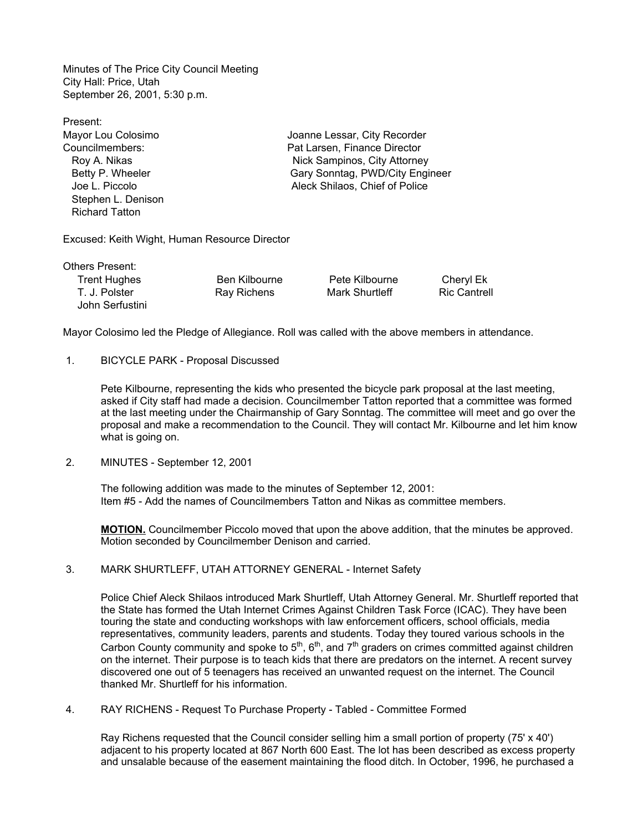Minutes of The Price City Council Meeting City Hall: Price, Utah September 26, 2001, 5:30 p.m.

| Present:              |                                 |
|-----------------------|---------------------------------|
| Mayor Lou Colosimo    | Joanne Lessar, City Recorder    |
| Councilmembers:       | Pat Larsen, Finance Director    |
| Roy A. Nikas          | Nick Sampinos, City Attorney    |
| Betty P. Wheeler      | Gary Sonntag, PWD/City Engineer |
| Joe L. Piccolo        | Aleck Shilaos, Chief of Police  |
| Stephen L. Denison    |                                 |
| <b>Richard Tatton</b> |                                 |
|                       |                                 |
|                       |                                 |

Excused: Keith Wight, Human Resource Director

Others Present: Trent Hughes Ben Kilbourne Pete Kilbourne Cheryl Ek John Serfustini

T. J. Polster **Ray Richens** Mark Shurtleff Ric Cantrell

Mayor Colosimo led the Pledge of Allegiance. Roll was called with the above members in attendance.

1. BICYCLE PARK - Proposal Discussed

Pete Kilbourne, representing the kids who presented the bicycle park proposal at the last meeting, asked if City staff had made a decision. Councilmember Tatton reported that a committee was formed at the last meeting under the Chairmanship of Gary Sonntag. The committee will meet and go over the proposal and make a recommendation to the Council. They will contact Mr. Kilbourne and let him know what is going on.

2. MINUTES - September 12, 2001

The following addition was made to the minutes of September 12, 2001: Item #5 - Add the names of Councilmembers Tatton and Nikas as committee members.

MOTION. Councilmember Piccolo moved that upon the above addition, that the minutes be approved. Motion seconded by Councilmember Denison and carried.

3. MARK SHURTLEFF, UTAH ATTORNEY GENERAL - Internet Safety

Police Chief Aleck Shilaos introduced Mark Shurtleff, Utah Attorney General. Mr. Shurtleff reported that the State has formed the Utah Internet Crimes Against Children Task Force (ICAC). They have been touring the state and conducting workshops with law enforcement officers, school officials, media representatives, community leaders, parents and students. Today they toured various schools in the Carbon County community and spoke to  $5<sup>th</sup>$ ,  $6<sup>th</sup>$ , and  $7<sup>th</sup>$  graders on crimes committed against children on the internet. Their purpose is to teach kids that there are predators on the internet. A recent survey discovered one out of 5 teenagers has received an unwanted request on the internet. The Council thanked Mr. Shurtleff for his information.

4. RAY RICHENS - Request To Purchase Property - Tabled - Committee Formed

Ray Richens requested that the Council consider selling him a small portion of property (75' x 40') adjacent to his property located at 867 North 600 East. The lot has been described as excess property and unsalable because of the easement maintaining the flood ditch. In October, 1996, he purchased a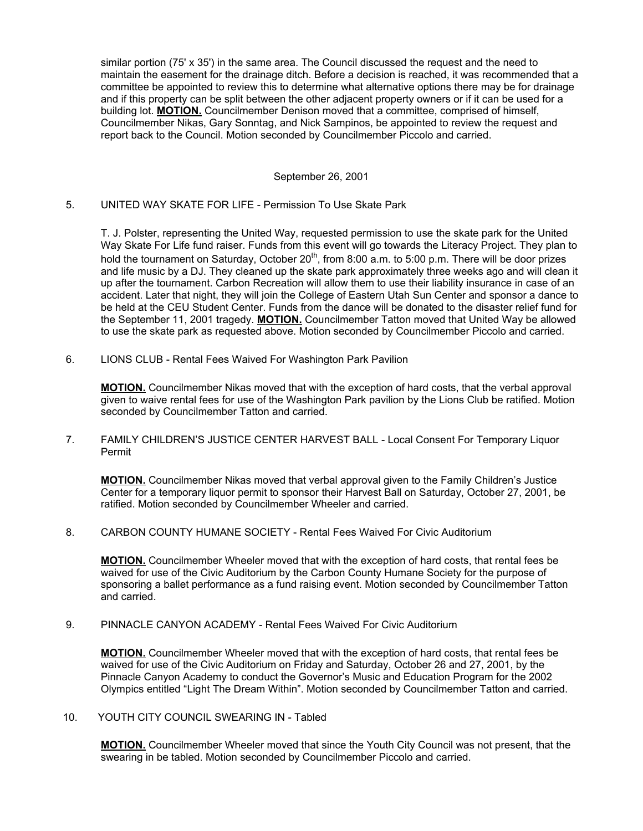similar portion (75' x 35') in the same area. The Council discussed the request and the need to maintain the easement for the drainage ditch. Before a decision is reached, it was recommended that a committee be appointed to review this to determine what alternative options there may be for drainage and if this property can be split between the other adjacent property owners or if it can be used for a building lot. MOTION. Councilmember Denison moved that a committee, comprised of himself, Councilmember Nikas, Gary Sonntag, and Nick Sampinos, be appointed to review the request and report back to the Council. Motion seconded by Councilmember Piccolo and carried.

### September 26, 2001

#### 5. UNITED WAY SKATE FOR LIFE - Permission To Use Skate Park

T. J. Polster, representing the United Way, requested permission to use the skate park for the United Way Skate For Life fund raiser. Funds from this event will go towards the Literacy Project. They plan to hold the tournament on Saturday, October 20<sup>th</sup>, from 8:00 a.m. to 5:00 p.m. There will be door prizes and life music by a DJ. They cleaned up the skate park approximately three weeks ago and will clean it up after the tournament. Carbon Recreation will allow them to use their liability insurance in case of an accident. Later that night, they will join the College of Eastern Utah Sun Center and sponsor a dance to be held at the CEU Student Center. Funds from the dance will be donated to the disaster relief fund for the September 11, 2001 tragedy. **MOTION.** Councilmember Tatton moved that United Way be allowed to use the skate park as requested above. Motion seconded by Councilmember Piccolo and carried.

6. LIONS CLUB - Rental Fees Waived For Washington Park Pavilion

MOTION. Councilmember Nikas moved that with the exception of hard costs, that the verbal approval given to waive rental fees for use of the Washington Park pavilion by the Lions Club be ratified. Motion seconded by Councilmember Tatton and carried.

 7. FAMILY CHILDREN'S JUSTICE CENTER HARVEST BALL - Local Consent For Temporary Liquor Permit

**MOTION.** Councilmember Nikas moved that verbal approval given to the Family Children's Justice Center for a temporary liquor permit to sponsor their Harvest Ball on Saturday, October 27, 2001, be ratified. Motion seconded by Councilmember Wheeler and carried.

8. CARBON COUNTY HUMANE SOCIETY - Rental Fees Waived For Civic Auditorium

MOTION. Councilmember Wheeler moved that with the exception of hard costs, that rental fees be waived for use of the Civic Auditorium by the Carbon County Humane Society for the purpose of sponsoring a ballet performance as a fund raising event. Motion seconded by Councilmember Tatton and carried.

9. PINNACLE CANYON ACADEMY - Rental Fees Waived For Civic Auditorium

**MOTION.** Councilmember Wheeler moved that with the exception of hard costs, that rental fees be waived for use of the Civic Auditorium on Friday and Saturday, October 26 and 27, 2001, by the Pinnacle Canyon Academy to conduct the Governor's Music and Education Program for the 2002 Olympics entitled "Light The Dream Within". Motion seconded by Councilmember Tatton and carried.

10. YOUTH CITY COUNCIL SWEARING IN - Tabled

MOTION. Councilmember Wheeler moved that since the Youth City Council was not present, that the swearing in be tabled. Motion seconded by Councilmember Piccolo and carried.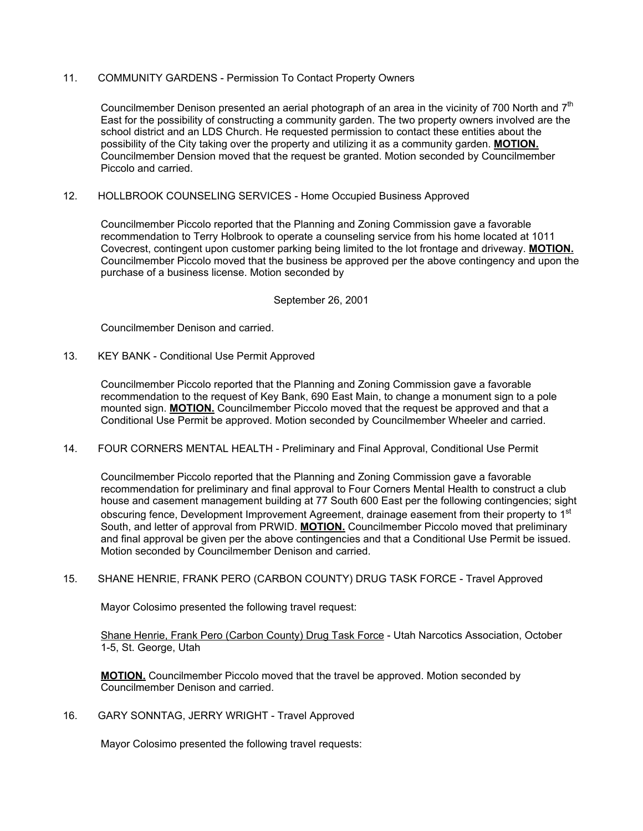# 11. COMMUNITY GARDENS - Permission To Contact Property Owners

Councilmember Denison presented an aerial photograph of an area in the vicinity of 700 North and  $7<sup>th</sup>$ East for the possibility of constructing a community garden. The two property owners involved are the school district and an LDS Church. He requested permission to contact these entities about the possibility of the City taking over the property and utilizing it as a community garden. MOTION. Councilmember Dension moved that the request be granted. Motion seconded by Councilmember Piccolo and carried.

# 12. HOLLBROOK COUNSELING SERVICES - Home Occupied Business Approved

Councilmember Piccolo reported that the Planning and Zoning Commission gave a favorable recommendation to Terry Holbrook to operate a counseling service from his home located at 1011 Covecrest, contingent upon customer parking being limited to the lot frontage and driveway. MOTION. Councilmember Piccolo moved that the business be approved per the above contingency and upon the purchase of a business license. Motion seconded by

# September 26, 2001

Councilmember Denison and carried.

### 13. KEY BANK - Conditional Use Permit Approved

Councilmember Piccolo reported that the Planning and Zoning Commission gave a favorable recommendation to the request of Key Bank, 690 East Main, to change a monument sign to a pole mounted sign. **MOTION.** Councilmember Piccolo moved that the request be approved and that a Conditional Use Permit be approved. Motion seconded by Councilmember Wheeler and carried.

14. FOUR CORNERS MENTAL HEALTH - Preliminary and Final Approval, Conditional Use Permit

Councilmember Piccolo reported that the Planning and Zoning Commission gave a favorable recommendation for preliminary and final approval to Four Corners Mental Health to construct a club house and casement management building at 77 South 600 East per the following contingencies; sight obscuring fence, Development Improvement Agreement, drainage easement from their property to 1<sup>st</sup> South, and letter of approval from PRWID. MOTION. Councilmember Piccolo moved that preliminary and final approval be given per the above contingencies and that a Conditional Use Permit be issued. Motion seconded by Councilmember Denison and carried.

### 15. SHANE HENRIE, FRANK PERO (CARBON COUNTY) DRUG TASK FORCE - Travel Approved

Mayor Colosimo presented the following travel request:

Shane Henrie, Frank Pero (Carbon County) Drug Task Force - Utah Narcotics Association, October 1-5, St. George, Utah

MOTION. Councilmember Piccolo moved that the travel be approved. Motion seconded by Councilmember Denison and carried.

16. GARY SONNTAG, JERRY WRIGHT - Travel Approved

Mayor Colosimo presented the following travel requests: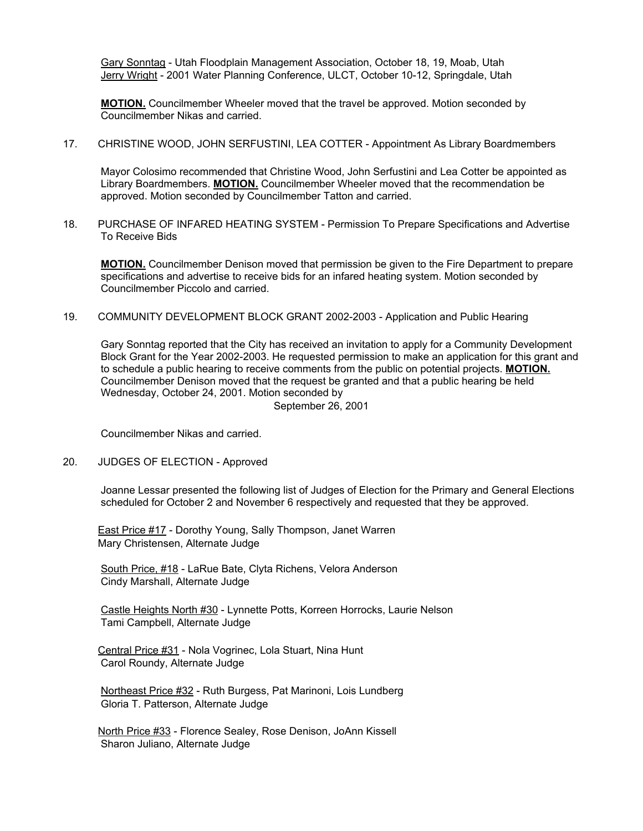Gary Sonntag - Utah Floodplain Management Association, October 18, 19, Moab, Utah Jerry Wright - 2001 Water Planning Conference, ULCT, October 10-12, Springdale, Utah

**MOTION.** Councilmember Wheeler moved that the travel be approved. Motion seconded by Councilmember Nikas and carried.

17. CHRISTINE WOOD, JOHN SERFUSTINI, LEA COTTER - Appointment As Library Boardmembers

Mayor Colosimo recommended that Christine Wood, John Serfustini and Lea Cotter be appointed as Library Boardmembers. **MOTION.** Councilmember Wheeler moved that the recommendation be approved. Motion seconded by Councilmember Tatton and carried.

18. PURCHASE OF INFARED HEATING SYSTEM - Permission To Prepare Specifications and Advertise To Receive Bids

**MOTION.** Councilmember Denison moved that permission be given to the Fire Department to prepare specifications and advertise to receive bids for an infared heating system. Motion seconded by Councilmember Piccolo and carried.

19. COMMUNITY DEVELOPMENT BLOCK GRANT 2002-2003 - Application and Public Hearing

Gary Sonntag reported that the City has received an invitation to apply for a Community Development Block Grant for the Year 2002-2003. He requested permission to make an application for this grant and to schedule a public hearing to receive comments from the public on potential projects. **MOTION.** Councilmember Denison moved that the request be granted and that a public hearing be held Wednesday, October 24, 2001. Motion seconded by

September 26, 2001

Councilmember Nikas and carried.

### 20. JUDGES OF ELECTION - Approved

Joanne Lessar presented the following list of Judges of Election for the Primary and General Elections scheduled for October 2 and November 6 respectively and requested that they be approved.

**East Price #17 - Dorothy Young, Sally Thompson, Janet Warren** Mary Christensen, Alternate Judge

South Price, #18 - LaRue Bate, Clyta Richens, Velora Anderson Cindy Marshall, Alternate Judge

Castle Heights North #30 - Lynnette Potts, Korreen Horrocks, Laurie Nelson Tami Campbell, Alternate Judge

 Central Price #31 - Nola Vogrinec, Lola Stuart, Nina Hunt Carol Roundy, Alternate Judge

Northeast Price #32 - Ruth Burgess, Pat Marinoni, Lois Lundberg Gloria T. Patterson, Alternate Judge

 North Price #33 - Florence Sealey, Rose Denison, JoAnn Kissell Sharon Juliano, Alternate Judge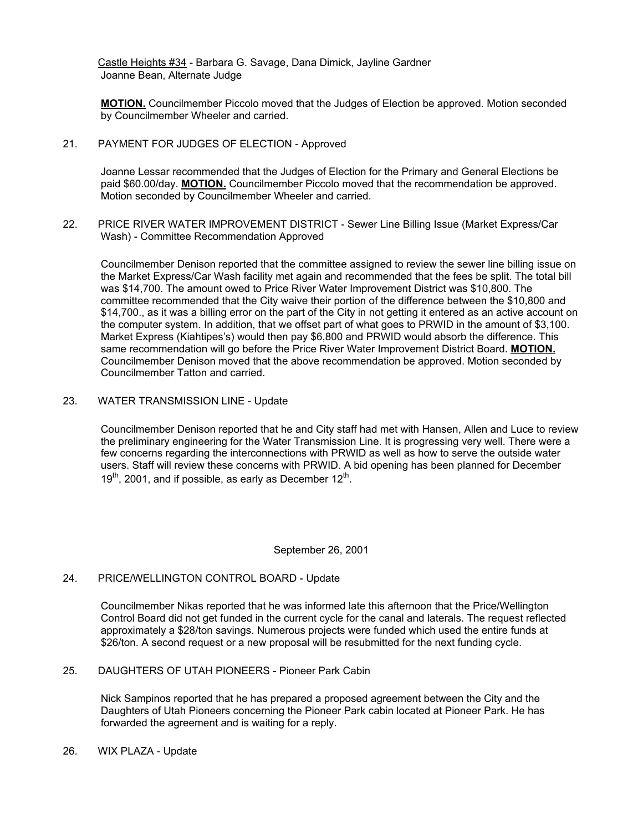Castle Heights #34 - Barbara G. Savage, Dana Dimick, Jayline Gardner Joanne Bean, Alternate Judge

**MOTION.** Councilmember Piccolo moved that the Judges of Election be approved. Motion seconded by Councilmember Wheeler and carried.

21. PAYMENT FOR JUDGES OF ELECTION - Approved

Joanne Lessar recommended that the Judges of Election for the Primary and General Elections be paid \$60.00/day. **MOTION.** Councilmember Piccolo moved that the recommendation be approved. Motion seconded by Councilmember Wheeler and carried.

22. PRICE RIVER WATER IMPROVEMENT DISTRICT - Sewer Line Billing Issue (Market Express/Car Wash) - Committee Recommendation Approved

Councilmember Denison reported that the committee assigned to review the sewer line billing issue on the Market Express/Car Wash facility met again and recommended that the fees be split. The total bill was \$14,700. The amount owed to Price River Water Improvement District was \$10,800. The committee recommended that the City waive their portion of the difference between the \$10,800 and \$14,700., as it was a billing error on the part of the City in not getting it entered as an active account on the computer system. In addition, that we offset part of what goes to PRWID in the amount of \$3,100. Market Express (Kiahtipes's) would then pay \$6,800 and PRWID would absorb the difference. This same recommendation will go before the Price River Water Improvement District Board. MOTION. Councilmember Denison moved that the above recommendation be approved. Motion seconded by Councilmember Tatton and carried.

23. WATER TRANSMISSION LINE - Update

Councilmember Denison reported that he and City staff had met with Hansen, Allen and Luce to review the preliminary engineering for the Water Transmission Line. It is progressing very well. There were a few concerns regarding the interconnections with PRWID as well as how to serve the outside water users. Staff will review these concerns with PRWID. A bid opening has been planned for December  $19<sup>th</sup>$ , 2001, and if possible, as early as December  $12<sup>th</sup>$ .

### September 26, 2001

# 24. PRICE/WELLINGTON CONTROL BOARD - Update

Councilmember Nikas reported that he was informed late this afternoon that the Price/Wellington Control Board did not get funded in the current cycle for the canal and laterals. The request reflected approximately a \$28/ton savings. Numerous projects were funded which used the entire funds at \$26/ton. A second request or a new proposal will be resubmitted for the next funding cycle.

25. DAUGHTERS OF UTAH PIONEERS - Pioneer Park Cabin

Nick Sampinos reported that he has prepared a proposed agreement between the City and the Daughters of Utah Pioneers concerning the Pioneer Park cabin located at Pioneer Park. He has forwarded the agreement and is waiting for a reply.

26. WIX PLAZA - Update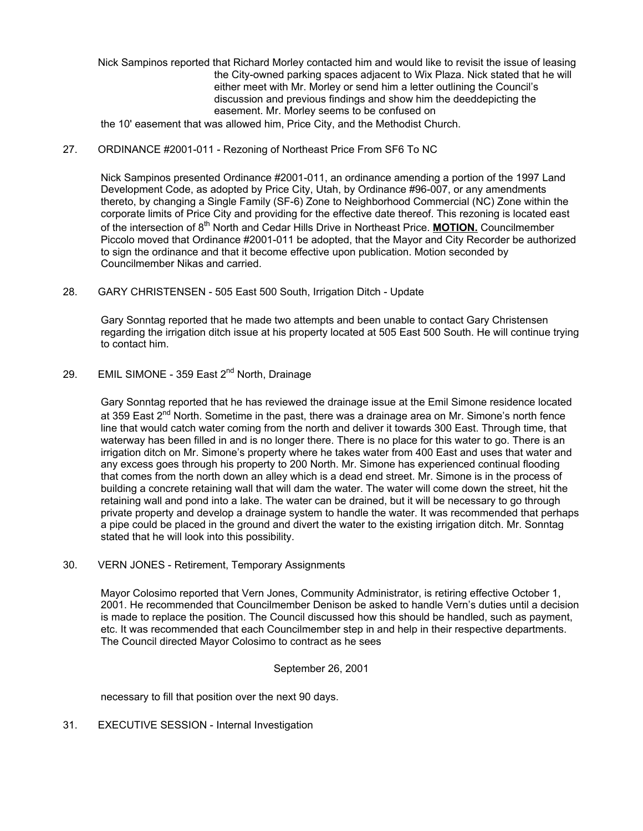Nick Sampinos reported that Richard Morley contacted him and would like to revisit the issue of leasing the City-owned parking spaces adjacent to Wix Plaza. Nick stated that he will either meet with Mr. Morley or send him a letter outlining the Council's discussion and previous findings and show him the deeddepicting the easement. Mr. Morley seems to be confused on

the 10' easement that was allowed him, Price City, and the Methodist Church.

# 27. ORDINANCE #2001-011 - Rezoning of Northeast Price From SF6 To NC

Nick Sampinos presented Ordinance #2001-011, an ordinance amending a portion of the 1997 Land Development Code, as adopted by Price City, Utah, by Ordinance #96-007, or any amendments thereto, by changing a Single Family (SF-6) Zone to Neighborhood Commercial (NC) Zone within the corporate limits of Price City and providing for the effective date thereof. This rezoning is located east of the intersection of  $8<sup>th</sup>$  North and Cedar Hills Drive in Northeast Price. **MOTION.** Councilmember Piccolo moved that Ordinance #2001-011 be adopted, that the Mayor and City Recorder be authorized to sign the ordinance and that it become effective upon publication. Motion seconded by Councilmember Nikas and carried.

28. GARY CHRISTENSEN - 505 East 500 South, Irrigation Ditch - Update

Gary Sonntag reported that he made two attempts and been unable to contact Gary Christensen regarding the irrigation ditch issue at his property located at 505 East 500 South. He will continue trying to contact him.

29. EMIL SIMONE - 359 East 2<sup>nd</sup> North, Drainage

Gary Sonntag reported that he has reviewed the drainage issue at the Emil Simone residence located at 359 East 2<sup>nd</sup> North. Sometime in the past, there was a drainage area on Mr. Simone's north fence line that would catch water coming from the north and deliver it towards 300 East. Through time, that waterway has been filled in and is no longer there. There is no place for this water to go. There is an irrigation ditch on Mr. Simone's property where he takes water from 400 East and uses that water and any excess goes through his property to 200 North. Mr. Simone has experienced continual flooding that comes from the north down an alley which is a dead end street. Mr. Simone is in the process of building a concrete retaining wall that will dam the water. The water will come down the street, hit the retaining wall and pond into a lake. The water can be drained, but it will be necessary to go through private property and develop a drainage system to handle the water. It was recommended that perhaps a pipe could be placed in the ground and divert the water to the existing irrigation ditch. Mr. Sonntag stated that he will look into this possibility.

### 30. VERN JONES - Retirement, Temporary Assignments

Mayor Colosimo reported that Vern Jones, Community Administrator, is retiring effective October 1, 2001. He recommended that Councilmember Denison be asked to handle Vern's duties until a decision is made to replace the position. The Council discussed how this should be handled, such as payment, etc. It was recommended that each Councilmember step in and help in their respective departments. The Council directed Mayor Colosimo to contract as he sees

### September 26, 2001

necessary to fill that position over the next 90 days.

31. EXECUTIVE SESSION - Internal Investigation